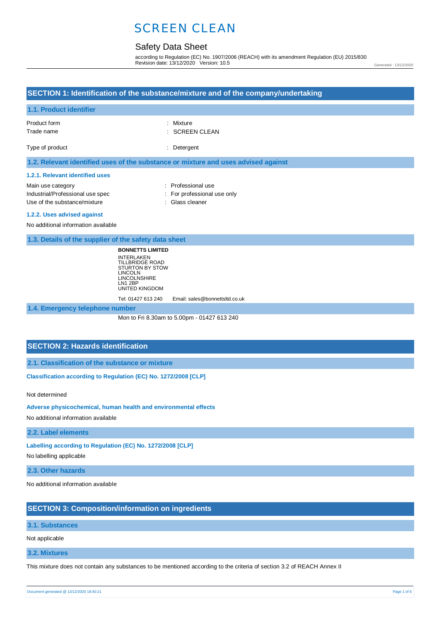## Safety Data Sheet

according to Regulation (EC) No. 1907/2006 (REACH) with its amendment Regulation (EU) 2015/830 Revision date: 13/12/2020 Version: 10.5

Generated : 13/12/2020

## **SECTION 1: Identification of the substance/mixture and of the company/undertaking**

#### **1.1. Product identifier**

| Product form<br>Trade name                                                         | : Mixture<br>$\therefore$ SCREEN CLEAN |
|------------------------------------------------------------------------------------|----------------------------------------|
| Type of product                                                                    | : Detergent                            |
| 1.2. Relevant identified uses of the substance or mixture and uses advised against |                                        |

#### **1.2.1. Relevant identified uses**

| Main use category                | : Professional use          |
|----------------------------------|-----------------------------|
| Industrial/Professional use spec | : For professional use only |
| Use of the substance/mixture     | : Glass cleaner             |

#### **1.2.2. Uses advised against**

No additional information available

**1.3. Details of the supplier of the safety data sheet**

**BONNETTS LIMITED** INTERLAKEN TILLBRIDGE ROAD STURTON BY STOW LINCOLN LINCOLNSHIRE LN1 2BP UNITED KINGDOM

Tel: 01427 613 240 Email: sales@bonnettsltd.co.uk

**1.4. Emergency telephone number**

Mon to Fri 8.30am to 5.00pm - 01427 613 240

## **SECTION 2: Hazards identification**

**2.1. Classification of the substance or mixture**

**Classification according to Regulation (EC) No. 1272/2008 [CLP]** 

Not determined

**Adverse physicochemical, human health and environmental effects** 

No additional information available

**2.2. Label elements**

**Labelling according to Regulation (EC) No. 1272/2008 [CLP]** 

No labelling applicable

**2.3. Other hazards**

No additional information available

## **SECTION 3: Composition/information on ingredients**

#### **3.1. Substances**

Not applicable

**3.2. Mixtures**

This mixture does not contain any substances to be mentioned according to the criteria of section 3.2 of REACH Annex II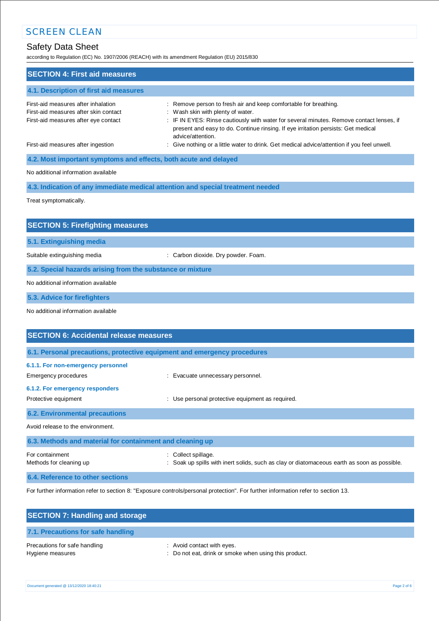# Safety Data Sheet

according to Regulation (EC) No. 1907/2006 (REACH) with its amendment Regulation (EU) 2015/830

| <b>SECTION 4: First aid measures</b>                                                                                 |                                                                                                                                                                                                                                                                                                             |  |
|----------------------------------------------------------------------------------------------------------------------|-------------------------------------------------------------------------------------------------------------------------------------------------------------------------------------------------------------------------------------------------------------------------------------------------------------|--|
| 4.1. Description of first aid measures                                                                               |                                                                                                                                                                                                                                                                                                             |  |
| First-aid measures after inhalation<br>First-aid measures after skin contact<br>First-aid measures after eye contact | : Remove person to fresh air and keep comfortable for breathing.<br>: Wash skin with plenty of water.<br>: IF IN EYES: Rinse cautiously with water for several minutes. Remove contact lenses, if<br>present and easy to do. Continue rinsing. If eye irritation persists: Get medical<br>advice/attention. |  |
| First-aid measures after ingestion                                                                                   | : Give nothing or a little water to drink. Get medical advice/attention if you feel unwell.                                                                                                                                                                                                                 |  |
| 4.2. Most important symptoms and effects, both acute and delayed                                                     |                                                                                                                                                                                                                                                                                                             |  |
| No additional information available                                                                                  |                                                                                                                                                                                                                                                                                                             |  |
| 4.3. Indication of any immediate medical attention and special treatment needed                                      |                                                                                                                                                                                                                                                                                                             |  |
| Treat symptomatically.                                                                                               |                                                                                                                                                                                                                                                                                                             |  |
|                                                                                                                      |                                                                                                                                                                                                                                                                                                             |  |
| <b>SECTION 5: Firefighting measures</b>                                                                              |                                                                                                                                                                                                                                                                                                             |  |

**5.1. Extinguishing media**

Suitable extinguishing media : Carbon dioxide. Dry powder. Foam.

**5.2. Special hazards arising from the substance or mixture**

No additional information available

**5.3. Advice for firefighters**

No additional information available

| <b>SECTION 6: Accidental release measures</b>                                                                         |                                                                                                                |  |
|-----------------------------------------------------------------------------------------------------------------------|----------------------------------------------------------------------------------------------------------------|--|
| 6.1. Personal precautions, protective equipment and emergency procedures                                              |                                                                                                                |  |
| 6.1.1. For non-emergency personnel<br>Emergency procedures<br>6.1.2. For emergency responders<br>Protective equipment | : Evacuate unnecessary personnel.<br>Use personal protective equipment as required.                            |  |
| <b>6.2. Environmental precautions</b>                                                                                 |                                                                                                                |  |
| Avoid release to the environment.                                                                                     |                                                                                                                |  |
| 6.3. Methods and material for containment and cleaning up                                                             |                                                                                                                |  |
| For containment<br>Methods for cleaning up                                                                            | Collect spillage.<br>Soak up spills with inert solids, such as clay or diatomaceous earth as soon as possible. |  |
| 6.4. Reference to other sections                                                                                      |                                                                                                                |  |

For further information refer to section 8: "Exposure controls/personal protection". For further information refer to section 13.

| <b>SECTION 7: Handling and storage</b>            |                                                                                     |
|---------------------------------------------------|-------------------------------------------------------------------------------------|
| 7.1. Precautions for safe handling                |                                                                                     |
| Precautions for safe handling<br>Hygiene measures | : Avoid contact with eyes.<br>: Do not eat, drink or smoke when using this product. |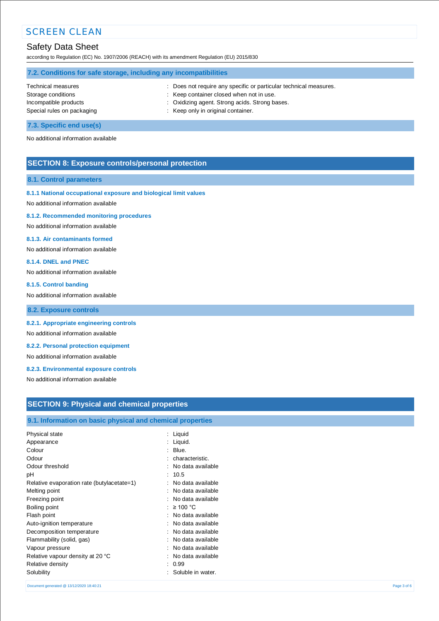## Safety Data Sheet

according to Regulation (EC) No. 1907/2006 (REACH) with its amendment Regulation (EU) 2015/830

| 7.2. Conditions for safe storage, including any incompatibilities |                                                                   |
|-------------------------------------------------------------------|-------------------------------------------------------------------|
| Technical measures                                                | : Does not require any specific or particular technical measures. |
| Storage conditions                                                | : Keep container closed when not in use.                          |
| Incompatible products                                             | : Oxidizing agent. Strong acids. Strong bases.                    |
| Special rules on packaging                                        | : Keep only in original container.                                |

## **7.3. Specific end use(s)**

No additional information available

## **SECTION 8: Exposure controls/personal protection**

#### **8.1. Control parameters**

### **8.1.1 National occupational exposure and biological limit values**

No additional information available

#### **8.1.2. Recommended monitoring procedures**

No additional information available

### **8.1.3. Air contaminants formed**

No additional information available

#### **8.1.4. DNEL and PNEC**

No additional information available

#### **8.1.5. Control banding**

No additional information available

**8.2. Exposure controls**

### **8.2.1. Appropriate engineering controls**

No additional information available

## **8.2.2. Personal protection equipment**

No additional information available

### **8.2.3. Environmental exposure controls**

No additional information available

## **SECTION 9: Physical and chemical properties**

## **9.1. Information on basic physical and chemical properties**

| Physical state<br>÷                        | Liquid            |
|--------------------------------------------|-------------------|
|                                            |                   |
| Appearance                                 | Liquid.           |
| Colour                                     | Blue.             |
| Odour                                      | characteristic.   |
| Odour threshold                            | No data available |
| рH                                         | 10.5              |
| Relative evaporation rate (butylacetate=1) | No data available |
| Melting point                              | No data available |
| Freezing point                             | No data available |
| Boiling point                              | $\geq 100$ °C     |
| Flash point                                | No data available |
| Auto-ignition temperature                  | No data available |
| Decomposition temperature                  | No data available |
| Flammability (solid, gas)<br>۰             | No data available |
| Vapour pressure                            | No data available |
| Relative vapour density at 20 °C<br>٠      | No data available |
| Relative density                           | 0.99              |
| Solubility                                 | Soluble in water. |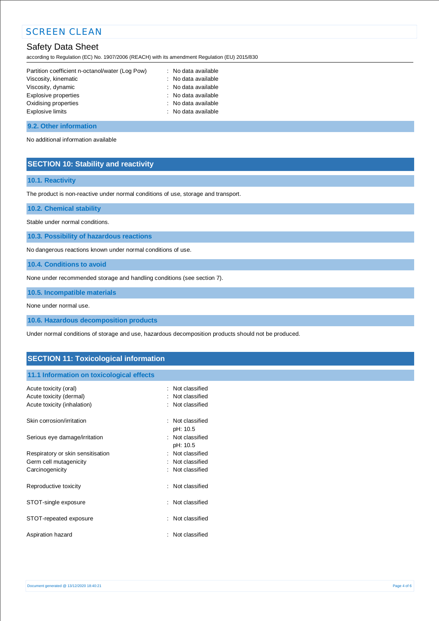## Safety Data Sheet

according to Regulation (EC) No. 1907/2006 (REACH) with its amendment Regulation (EU) 2015/830

| Partition coefficient n-octanol/water (Log Pow) | : No data available |
|-------------------------------------------------|---------------------|
| Viscosity, kinematic                            | : No data available |
| Viscosity, dynamic                              | : No data available |
| Explosive properties                            | : No data available |
| Oxidising properties                            | : No data available |
| Explosive limits                                | : No data available |
|                                                 |                     |

### **9.2. Other information**

No additional information available

## **SECTION 10: Stability and reactivity**

## **10.1. Reactivity**

The product is non-reactive under normal conditions of use, storage and transport.

**10.2. Chemical stability**

Stable under normal conditions.

**10.3. Possibility of hazardous reactions**

No dangerous reactions known under normal conditions of use.

**10.4. Conditions to avoid**

None under recommended storage and handling conditions (see section 7).

**10.5. Incompatible materials**

None under normal use.

**10.6. Hazardous decomposition products**

Under normal conditions of storage and use, hazardous decomposition products should not be produced.

## **SECTION 11: Toxicological information**

## **11.1 Information on toxicological effects**

| Acute toxicity (oral)<br>Acute toxicity (dermal)<br>Acute toxicity (inhalation) |   | : Not classified<br>: Not classified<br>: Not classified |
|---------------------------------------------------------------------------------|---|----------------------------------------------------------|
| Skin corrosion/irritation                                                       |   | : Not classified<br>pH: 10.5                             |
| Serious eye damage/irritation                                                   |   | : Not classified<br>pH: 10.5                             |
| Respiratory or skin sensitisation                                               | ٠ | Not classified                                           |
| Germ cell mutagenicity                                                          |   | Not classified                                           |
| Carcinogenicity                                                                 |   | : Not classified                                         |
| Reproductive toxicity                                                           |   | : Not classified                                         |
| STOT-single exposure                                                            |   | : Not classified                                         |
| STOT-repeated exposure                                                          |   | Not classified                                           |
| Aspiration hazard                                                               |   | Not classified                                           |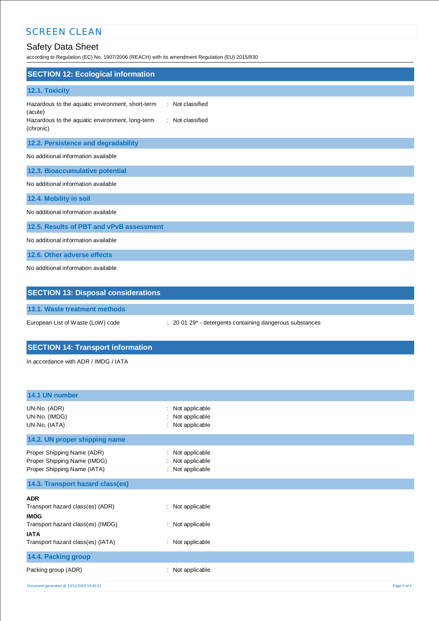# Safety Data Sheet

according to Regulation (EC) No. 1907/2006 (REACH) with its amendment Regulation (EU) 2015/830

| <b>SECTION 12: Ecological information</b>                                                                                                                           |
|---------------------------------------------------------------------------------------------------------------------------------------------------------------------|
| 12.1. Toxicity                                                                                                                                                      |
| : Not classified<br>Hazardous to the aquatic environment, short-term<br>(acute)<br>Hazardous to the aquatic environment, long-term<br>: Not classified<br>(chronic) |
| 12.2. Persistence and degradability                                                                                                                                 |
| No additional information available                                                                                                                                 |
| 12.3. Bioaccumulative potential                                                                                                                                     |
| No additional information available                                                                                                                                 |
| 12.4. Mobility in soil                                                                                                                                              |
| No additional information available                                                                                                                                 |
| 12.5. Results of PBT and vPvB assessment                                                                                                                            |
| No additional information available                                                                                                                                 |
| 12.6. Other adverse effects                                                                                                                                         |
| No additional information available                                                                                                                                 |
| <b>SECTION 13: Disposal considerations</b>                                                                                                                          |

**13.1. Waste treatment methods**

European List of Waste (LoW) code : 20 01 29\* - detergents containing dangerous substances

# **SECTION 14: Transport information**

In accordance with ADR / IMDG / IATA

| 14.1 UN number                                                                           |                                                               |             |
|------------------------------------------------------------------------------------------|---------------------------------------------------------------|-------------|
| UN-No. (ADR)<br>UN-No. (IMDG)<br>UN-No. (IATA)                                           | Not applicable<br>÷<br>Not applicable<br>Not applicable<br>÷. |             |
| 14.2. UN proper shipping name                                                            |                                                               |             |
| Proper Shipping Name (ADR)<br>Proper Shipping Name (IMDG)<br>Proper Shipping Name (IATA) | : Not applicable<br>Not applicable<br>÷<br>: Not applicable   |             |
| 14.3. Transport hazard class(es)                                                         |                                                               |             |
| <b>ADR</b>                                                                               |                                                               |             |
| Transport hazard class(es) (ADR)<br><b>IMDG</b>                                          | : Not applicable                                              |             |
| Transport hazard class(es) (IMDG)<br><b>IATA</b>                                         | : Not applicable                                              |             |
| Transport hazard class(es) (IATA)                                                        | : Not applicable                                              |             |
| 14.4. Packing group                                                                      |                                                               |             |
| Packing group (ADR)                                                                      | Not applicable<br>÷                                           |             |
| Document generated @ 13/12/2020 18:40:21                                                 |                                                               | Page 5 of 6 |